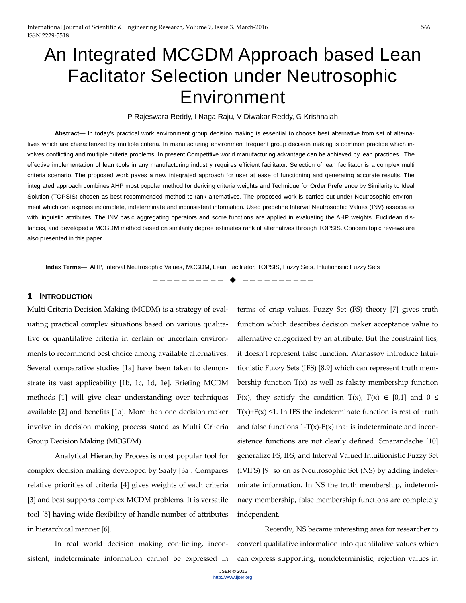# An Integrated MCGDM Approach based Lean Faclitator Selection under Neutrosophic Environment

#### P Rajeswara Reddy, I Naga Raju, V Diwakar Reddy, G Krishnaiah

**Abstract—** In today's practical work environment group decision making is essential to choose best alternative from set of alternatives which are characterized by multiple criteria. In manufacturing environment frequent group decision making is common practice which involves conflicting and multiple criteria problems. In present Competitive world manufacturing advantage can be achieved by lean practices. The effective implementation of lean tools in any manufacturing industry requires efficient facilitator. Selection of lean facilitator is a complex multi criteria scenario. The proposed work paves a new integrated approach for user at ease of functioning and generating accurate results. The integrated approach combines AHP most popular method for deriving criteria weights and Technique for Order Preference by Similarity to Ideal Solution (TOPSIS) chosen as best recommended method to rank alternatives. The proposed work is carried out under Neutrosophic environment which can express incomplete, indeterminate and inconsistent information. Used predefine Interval Neutrosophic Values (INV) associates with linguistic attributes. The INV basic aggregating operators and score functions are applied in evaluating the AHP weights. Euclidean distances, and developed a MCGDM method based on similarity degree estimates rank of alternatives through TOPSIS. Concern topic reviews are also presented in this paper.

**Index Terms**— AHP, Interval Neutrosophic Values, MCGDM, Lean Facilitator, TOPSIS, Fuzzy Sets, Intuitionistic Fuzzy Sets

—————————— ——————————

#### **1 INTRODUCTION**

Multi Criteria Decision Making (MCDM) is a strategy of evaluating practical complex situations based on various qualitative or quantitative criteria in certain or uncertain environments to recommend best choice among available alternatives. Several comparative studies [1a] have been taken to demonstrate its vast applicability [1b, 1c, 1d, 1e]. Briefing MCDM methods [1] will give clear understanding over techniques available [2] and benefits [1a]. More than one decision maker involve in decision making process stated as Multi Criteria Group Decision Making (MCGDM).

Analytical Hierarchy Process is most popular tool for complex decision making developed by Saaty [3a]. Compares relative priorities of criteria [4] gives weights of each criteria [3] and best supports complex MCDM problems. It is versatile tool [5] having wide flexibility of handle number of attributes in hierarchical manner [6].

In real world decision making conflicting, inconsistent, indeterminate information cannot be expressed in

terms of crisp values. Fuzzy Set (FS) theory [7] gives truth function which describes decision maker acceptance value to alternative categorized by an attribute. But the constraint lies, it doesn't represent false function. Atanassov introduce Intuitionistic Fuzzy Sets (IFS) [8,9] which can represent truth membership function  $T(x)$  as well as falsity membership function F(x), they satisfy the condition T(x), F(x)  $\in$  [0,1] and 0  $\le$  $T(x)+F(x) \leq 1$ . In IFS the indeterminate function is rest of truth and false functions  $1-T(x)-F(x)$  that is indeterminate and inconsistence functions are not clearly defined. Smarandache [10] generalize FS, IFS, and Interval Valued Intuitionistic Fuzzy Set (IVIFS) [9] so on as Neutrosophic Set (NS) by adding indeterminate information. In NS the truth membership, indeterminacy membership, false membership functions are completely independent.

Recently, NS became interesting area for researcher to convert qualitative information into quantitative values which can express supporting, nondeterministic, rejection values in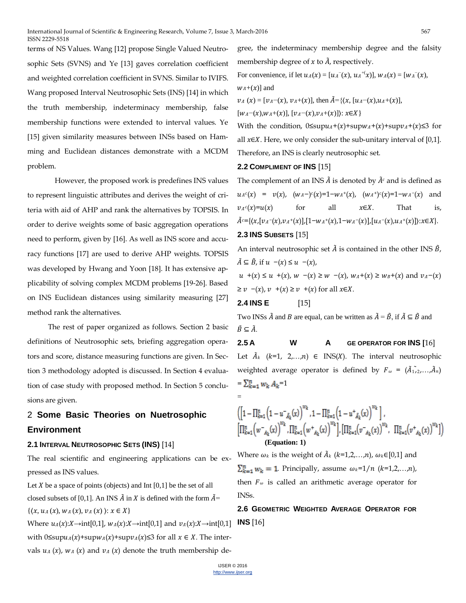terms of NS Values. Wang [12] propose Single Valued Neutrosophic Sets (SVNS) and Ye [13] gaves correlation coefficient and weighted correlation coefficient in SVNS. Similar to IVIFS. Wang proposed Interval Neutrosophic Sets (INS) [14] in which the truth membership, indeterminacy membership, false membership functions were extended to interval values. Ye [15] given similarity measures between INSs based on Hamming and Euclidean distances demonstrate with a MCDM problem.

However, the proposed work is predefines INS values to represent linguistic attributes and derives the weight of criteria with aid of AHP and rank the alternatives by TOPSIS. In order to derive weights some of basic aggregation operations need to perform, given by [16]. As well as INS score and accuracy functions [17] are used to derive AHP weights. TOPSIS was developed by Hwang and Yoon [18]. It has extensive applicability of solving complex MCDM problems [19-26]. Based on INS Euclidean distances using similarity measuring [27] method rank the alternatives.

The rest of paper organized as follows. Section 2 basic definitions of Neutrosophic sets, briefing aggregation operators and score, distance measuring functions are given. In Section 3 methodology adopted is discussed. In Section 4 evaluation of case study with proposed method. In Section 5 conclusions are given.

# 2 **Some Basic Theories on Nuetrosophic Environment**

### **2.1 INTERVAL NEUTROSOPHIC SETS (INS)** [14]

The real scientific and engineering applications can be expressed as INS values.

Let  $X$  be a space of points (objects) and Int  $[0,1]$  be the set of all closed subsets of [0,1]. An INS  $\tilde{A}$  in  $X$  is defined with the form  $\tilde{A}$ =  $\{\langle x, u_A(x), w_A(x), v_A(x)\rangle : x \in X\}$ 

Where  $u_A(x):X\rightarrow \text{int}[0,1]$ ,  $w_A(x):X\rightarrow \text{int}[0,1]$  and  $v_A(x):X\rightarrow \text{int}[0,1]$  **INS** [16] with  $0 \leq \sup u_A(x) + \sup w_A(x) + \sup v_A(x) \leq 3$  for all  $x \in X$ . The intervals  $u_A(x)$ ,  $w_A(x)$  and  $v_A(x)$  denote the truth membership de-

gree, the indeterminacy membership degree and the falsity membership degree of  $x$  to  $\tilde{A}$ , respectively.

For convenience, if let  $u_A(x) = [u_A^-(x), u_A^{+(x)}], w_A(x) = [w_A^-(x),$ 

 $W_A + (\chi)$ ] and

 $v_A(x) = [v_A-(x), v_A+(x)],$  then  $\tilde{A} = \{(x, [u_A-(x), u_A+(x)],$ 

 $[w_A-(x), w_A+(x)], [v_A-(x), v_A+(x)]\rangle: x \in X$ 

With the condition,  $0 \leq \sup u_A + (x) + \sup w_A + (x) + \sup v_A + (x) \leq 3$  for all  $x \in X$ . Here, we only consider the sub-unitary interval of [0,1]. Therefore, an INS is clearly neutrosophic set.

### **2.2 COMPLIMENT OF INS** [15]

The complement of an INS  $\ddot{A}$  is denoted by  $\ddot{A}^c$  and is defined as  $u_A^c(x) = v(x), \quad (w_A^-)^c(x) = 1 - w_A^+(x), \quad (w_A^+)^c(x) = 1 - w_A^-(x) \quad \text{and}$  $v_A^c(x)=u(x)$  for all  $x\in X$ . That is,  $\tilde{A}^{c} = \{ (x, [v_A^- (x), v_A^+ (x)], [1 - w_A^+ (x), 1 - w_A^- (x)], [u_A^- (x), u_A^+ (x)]\} : x \in X \}.$ 

### **2.3 INS SUBSETS** [15]

An interval neutrosophic set  $\tilde{A}$  is contained in the other INS  $\tilde{B}$ ,  $\tilde{A} \subseteq \tilde{B}$ , if  $u - (x) \le u - (x)$ ,  $u^+(x) \le u^+(x)$ ,  $w^-(x) \ge w^-(x)$ ,  $w_A^+(x) \ge w_B^+(x)$  and  $v_A^-(x)$  $\sim$   $\rightarrow$   $\pm(\nu)$  >  $\rightarrow$   $\pm(\nu)$  for all  $\chi \in X$ .

$$
\geq v
$$
 -(x),  $v$  +(x)  $\geq v$  +(x) for all  $x \in$ 

$$
2.4 INSE [15]
$$

Two INSs  $\tilde{A}$  and  $B$  are equal, can be written as  $\tilde{A} = \tilde{B}$ , if  $\tilde{A} \subseteq \tilde{B}$  and  $\tilde{B} \subseteq \tilde{A}$ .

# **2.5 A W A GE OPERATOR FOR INS [**16]

Let  $\bar{A}_k$  (k=1, 2,...,n)  $\in$  INS(X). The interval neutrosophic weighted average operator is defined by  $F_{\omega} = (A_{1}, \ldots, A_{n})$  $=\sum_{k=1}^{n} w_k A_k = 1$ 

$$
\begin{aligned}\left(\left[1-\Pi_{k=1}^{n}\left(1-u_{\hat{A}_{k}}^{-}(x)\right)^{w_{k}},1-\Pi_{k=1}^{n}\left(1-u_{\hat{A}_{k}}^{+}(x)\right)^{w_{k}}\right],\\ \left[\Pi_{k=1}^{n}\left(w_{\hat{A}_{k}}^{-}(x)\right)^{w_{k}},\Pi_{k=1}^{n}\left(w_{\hat{A}_{k}}^{+}(x)\right)^{w_{k}}\right],\left[\Pi_{k=1}^{n}\left(v_{\hat{A}_{k}}^{-}(x)\right)^{w_{k}},\Pi_{k=1}^{n}\left(v_{\hat{A}_{k}}^{+}(x)\right)^{w_{k}}\right]\right) \\
&\quad\text{(Equation: 1)}\end{aligned}
$$

Where  $\omega_k$  is the weight of  $\tilde{A}_k$  (k=1,2,...,n),  $\omega_k \in [0,1]$  and  $\sum_{k=1}^{n} w_k = 1$ . Principally, assume  $\omega_k = 1/n$  ( $k=1,2,...,n$ ), then  $F_{\omega}$  is called an arithmetic average operator for INSs.

**2.6 GEOMETRIC WEIGHTED AVERAGE OPERATOR FOR**

=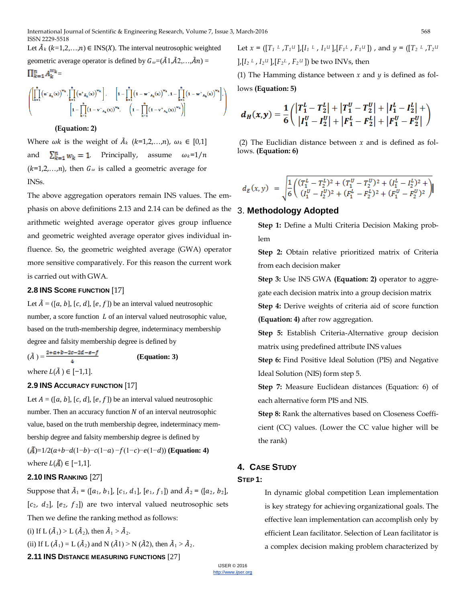Let  $\tilde{A}_k$  ( $k=1,2,...,n$ )  $\in$  INS(X). The interval neutrosophic weighted geometric average operator is defined by  $G_{\omega} = (\tilde{A}1, \tilde{A}2, \ldots, \tilde{A}n) =$  $\prod_{k=1}^{n} A_k^{w_k} =$ 

$$
\left(\prod_{k=1}^n \left(u^-_{\;\; \tilde{A}_k}(x)\right)^{w_k}, \prod_{k=1}^n \left(u^+_{\;\; \tilde{A}_k}(x)\right)^{w_k}\right], \quad \ \left[1-\prod_{k=1}^n \left(1-w^-_{\; \; A_k}(x)\right)^{w_k}, 1-\prod_{k=1}^n \left(1-w^+_{\; \; A_k}(x)\right)^{w_k}\right], \\ \left[1-\prod_{k=1}^n \left(1-v^-_{\; \; A_k}(x)\right)^{w_k}, \quad \ \left(1-\prod_{k=1}^n \left(1-v^+_{\; \; A_k}(x)\right)^{w_k}\right)\right]
$$

#### **(Equation: 2)**

Where  $\omega k$  is the weight of  $\tilde{A}_k$  (k=1,2,...,n),  $\omega_k \in [0,1]$ and  $\sum_{k=1}^{n} w_k = 1$ . Principally, assume  $\omega_k = 1/n$  $(k=1,2,...,n)$ , then  $G_{\omega}$  is called a geometric average for INSs.

The above aggregation operators remain INS values. The emphasis on above definitions 2.13 and 2.14 can be defined as the 3. **Methodology Adopted** arithmetic weighted average operator gives group influence and geometric weighted average operator gives individual influence. So, the geometric weighted average (GWA) operator more sensitive comparatively. For this reason the current work is carried out with GWA.

### **2.8 INS SCORE FUNCTION** [17]

Let  $\tilde{A} = (a, b], [c, d], [e, f]$  be an interval valued neutrosophic number, a score function  $L$  of an interval valued neutrosophic value, based on the truth-membership degree, indeterminacy membership degree and falsity membership degree is defined by

 $(A) = \frac{2+ax+b-2c-2d-e-f}{a}$  (Equation: 3) where  $L(\tilde{A}) \in [-1,1]$ .

#### **2.9 INS ACCURACY FUNCTION** [17]

Let  $A = ([a, b], [c, d], [e, f])$  be an interval valued neutrosophic number. Then an accuracy function  $N$  of an interval neutrosophic value, based on the truth membership degree, indeterminacy membership degree and falsity membership degree is defined by  $(\tilde{A})=1/2(a+b-d(1-b)-c(1-a)-f(1-c)-e(1-d))$  (**Equation: 4**) where  $L(\mathbf{A}) \in [-1,1]$ .

# **2.10 INS RANKING** [27]

Suppose that  $A_1 = ([a_1, b_1], [c_1, d_1], [e_1, f_1])$  and  $A_2 = ([a_2, b_2],$  $[c_2, d_2]$ ,  $[e_2, f_2]$  are two interval valued neutrosophic sets Then we define the ranking method as follows: (i) If  $L(\tilde{A}_1) > L(\tilde{A}_2)$ , then  $\tilde{A}_1 > \tilde{A}_2$ . (ii) If L ( $\tilde{A}_1$ ) = L ( $\tilde{A}_2$ ) and N ( $\tilde{A}_1$ ) > N ( $\tilde{A}_2$ ), then  $\tilde{A}_1$  >  $\tilde{A}_2$ . **2.11 INS DISTANCE MEASURING FUNCTIONS** [27]

Let *x* = ([*T1 <sup>L</sup>* ,*T1U* ],[*I1 <sup>L</sup>* , *I1U* ],[*F1L* , *F1U* ]) , and *y* = ([*T2 <sup>L</sup>* ,*T2U*  $\int_{I} [I_2^L, I_2^U], [F_2^L, F_2^U]$  be two INVs, then

(1) The Hamming distance between *x* and *y* is defined as follows **(Equation: 5)**

$$
d_H(x,y) = \frac{1}{6} \left( \frac{|T_1^L - T_2^L| + |T_1^U - T_2^U| + |I_1^L - I_2^L| + |I_1^L - I_2^L| + |I_1^U - I_2^U| + |F_1^L - F_2^L| + |F_1^U - F_2^U| \right)
$$

(2) The Euclidian distance between *x* and is defined as follows. **(Equation: 6)**

$$
d_E(x,y) \ = \sqrt{\frac{1}{6}\Bigg(\frac{(T_1^L-T_2^L)^2+(T_1^U-T_2^U)^2+(I_1^L-I_2^L)^2}{(I_1^U-I_2^U)^2+(F_1^L-F_2^L)^2+(F_1^U-F_2^U)^2}\Bigg)}
$$

Step 1: Define a Multi Criteria Decision Making problem

**Step 2:** Obtain relative prioritized matrix of Criteria from each decision maker

**Step 3:** Use INS GWA **(Equation: 2)** operator to aggregate each decision matrix into a group decision matrix **Step 4:** Derive weights of criteria aid of score function **(Equation: 4)** after row aggregation.

**Step 5:** Establish Criteria-Alternative group decision

matrix using predefined attribute INS values

**Step 6:** Find Positive Ideal Solution (PIS) and Negative Ideal Solution (NIS) form step 5.

**Step 7:** Measure Euclidean distances (Equation: 6) of each alternative form PIS and NIS.

**Step 8:** Rank the alternatives based on Closeness Coefficient (CC) values. (Lower the CC value higher will be the rank)

# **4. CASE STUDY**

#### **STEP 1:**

In dynamic global competition Lean implementation is key strategy for achieving organizational goals. The effective lean implementation can accomplish only by efficient Lean facilitator. Selection of Lean facilitator is a complex decision making problem characterized by

IJSER © 2016 [http://www.ijser.org](http://www.ijser.org/)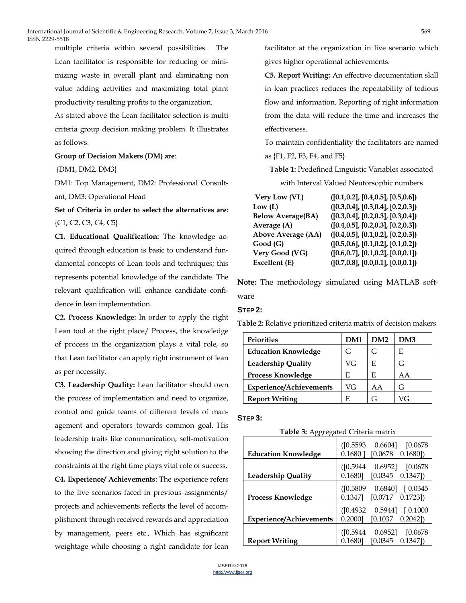multiple criteria within several possibilities. The Lean facilitator is responsible for reducing or minimizing waste in overall plant and eliminating non value adding activities and maximizing total plant productivity resulting profits to the organization.

As stated above the Lean facilitator selection is multi criteria group decision making problem. It illustrates as follows.

#### **Group of Decision Makers (DM) are**:

#### {DM1, DM2, DM3}

DM1: Top Management, DM2: Professional Consultant, DM3: Operational Head

**Set of Criteria in order to select the alternatives are:** {C1, C2, C3, C4, C5}

**C1. Educational Qualification:** The knowledge acquired through education is basic to understand fundamental concepts of Lean tools and techniques; this represents potential knowledge of the candidate. The relevant qualification will enhance candidate confidence in lean implementation.

**C2. Process Knowledge:** In order to apply the right Lean tool at the right place/ Process, the knowledge of process in the organization plays a vital role, so that Lean facilitator can apply right instrument of lean as per necessity.

**C3. Leadership Quality:** Lean facilitator should own the process of implementation and need to organize, control and guide teams of different levels of management and operators towards common goal. His leadership traits like communication, self-motivation showing the direction and giving right solution to the constraints at the right time plays vital role of success.

**C4. Experience/ Achievements**: The experience refers to the live scenarios faced in previous assignments/ projects and achievements reflects the level of accomplishment through received rewards and appreciation by management, peers etc., Which has significant weightage while choosing a right candidate for lean

facilitator at the organization in live scenario which gives higher operational achievements.

**C5. Report Writing:** An effective documentation skill in lean practices reduces the repeatability of tedious flow and information. Reporting of right information from the data will reduce the time and increases the effectiveness.

To maintain confidentiality the facilitators are named as {F1, F2, F3, F4, and F5}

**Table 1:** Predefined Linguistic Variables associated

with Interval Valued Neutorsophic numbers

| Very Low (VL)             | ([0.1, 0.2], [0.4, 0.5], [0.5, 0.6]) |
|---------------------------|--------------------------------------|
| Low (L)                   | ([0.3, 0.4], [0.3, 0.4], [0.2, 0.3]) |
| <b>Below Average(BA)</b>  | ([0.3, 0.4], [0.2, 0.3], [0.3, 0.4]) |
| Average (A)               | ([0.4, 0.5], [0.2, 0.3], [0.2, 0.3]) |
| <b>Above Average (AA)</b> | ([0.4, 0.5], [0.1, 0.2], [0.2, 0.3]) |
| Good (G)                  | ([0.5, 0.6], [0.1, 0.2], [0.1, 0.2]) |
| <b>Very Good (VG)</b>     | ([0.6, 0.7], [0.1, 0.2], [0.0, 0.1]) |
| Excellent (E)             | ([0.7, 0.8], [0.0, 0.1], [0.0, 0.1]) |
|                           |                                      |

**Note:** The methodology simulated using MATLAB software

#### **STEP 2:**

**Table 2:** Relative prioritized criteria matrix of decision makers

| <b>Priorities</b>              | <b>DM1</b> | DM2 | DM3        |
|--------------------------------|------------|-----|------------|
| <b>Education Knowledge</b>     | G          | G   | E          |
| <b>Leadership Quality</b>      | VG         | E   | G          |
| <b>Process Knowledge</b>       | F.         | E   | ΑA         |
| <b>Experience/Achievements</b> | VG         | ΑA  | G          |
| <b>Report Writing</b>          | E          | G   | $\sqrt{C}$ |

#### **STEP 3:**

| <b>Table 3:</b> Aggregated Criteria matrix |  |
|--------------------------------------------|--|
|--------------------------------------------|--|

| <b>Education Knowledge</b>     | ([0.5593]<br>[0.0678]<br>0.6604]<br>$[0.0678$<br>0.16801<br>0.16801       |
|--------------------------------|---------------------------------------------------------------------------|
| <b>Leadership Quality</b>      | 0.6952<br>([0.5944]<br>[0.0678]<br>0.1680]<br>[0.0345]<br>$0.1347$ )      |
| <b>Process Knowledge</b>       | $($ [0.5809]<br>0.6840]<br>[0.0345]<br>$[0.0717 \quad 0.1723]$<br>0.1347] |
| <b>Experience/Achievements</b> | ([0.4932]<br>0.5944]<br>[0.1000]<br>0.2000]<br>0.2042]<br>[0.1037]        |
| <b>Report Writing</b>          | ([0.5944]<br>0.6952<br>[0.0678]<br>0.13471<br>0.1680]<br>[0.0345]         |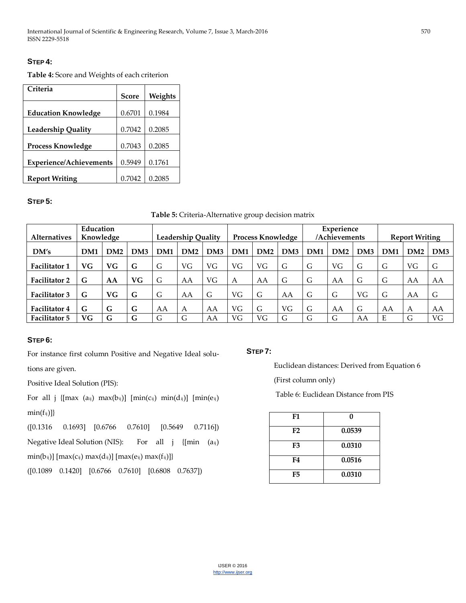# **STEP 4:**

**Table 4:** Score and Weights of each criterion

| Criteria                       |              |         |
|--------------------------------|--------------|---------|
|                                | <b>Score</b> | Weights |
|                                |              |         |
| <b>Education Knowledge</b>     | 0.6701       | 0.1984  |
|                                |              |         |
| <b>Leadership Quality</b>      | 0.7042       | 0.2085  |
|                                |              |         |
| <b>Process Knowledge</b>       | 0.7043       | 0.2085  |
|                                |              |         |
| <b>Experience/Achievements</b> | 0.5949       | 0.1761  |
|                                |              |         |
| <b>Report Writing</b>          | 0.7042       | 0.2085  |

# **STEP 5:**

### **Table 5:** Criteria-Alternative group decision matrix

|                      | Education       |           |     |     |                           |                 |     |                          |                 | Experience      |               |     |                 |                       |     |
|----------------------|-----------------|-----------|-----|-----|---------------------------|-----------------|-----|--------------------------|-----------------|-----------------|---------------|-----|-----------------|-----------------------|-----|
| <b>Alternatives</b>  | Knowledge       |           |     |     | <b>Leadership Quality</b> |                 |     | <b>Process Knowledge</b> |                 |                 | /Achievements |     |                 | <b>Report Writing</b> |     |
| DM's                 | DM <sub>1</sub> | DM2       | DM3 | DM1 | DM2                       | DM <sub>3</sub> | DM1 | DM2                      | DM <sub>3</sub> | DM <sub>1</sub> | DM2           | DM3 | DM <sub>1</sub> | DM2                   | DM3 |
| <b>Facilitator 1</b> | VG.             | <b>VG</b> | G   | G   | VG                        | VG              | VG  | VG                       | G               | G               | VG            | G   | G               | VG                    | G   |
| <b>Facilitator 2</b> | G               | AA        | VG  | G   | AA                        | VG              | А   | AA                       | G               | G               | AA            | G   | G               | AA                    | AA  |
| <b>Facilitator 3</b> | G               | VG        | G   | G   | AA                        | G               | VG  | G                        | AA              | G               | G             | VG  | G               | AA                    | G   |
| <b>Facilitator 4</b> | G               | G         | G   | AA  | A                         | AA              | VG  | G                        | VG              | G               | AA            | G   | AA              | A                     | AA  |
| <b>Facilitator 5</b> | VG.             | G         | G   | G   | G                         | AA              | VG  | VG                       | G               | G               | G             | AA  | E.              | G                     | VG  |

# **STEP 6:**

For instance first column Positive and Negative Ideal solu-

tions are given.

Positive Ideal Solution (PIS):

For all j { $[max (a_{ij}) max(b_{ij})]$   $[min(c_{ij}) min(d_{ij})]$   $[min(e_{ij})]$  $min(f_{ij})]\}$ 

([0.1316 0.1693] [0.6766 0.7610] [0.5649 0.7116]) Negative Ideal Solution (NIS): For all  $j \{min (a_{ij})$ 

 $min(b_{ij})]$  [ $max(c_{ij})$   $max(d_{ij})$ ] [ $max(e_{ij})$   $max(f_{ij})$ ]}

([0.1089 0.1420] [0.6766 0.7610] [0.6808 0.7637])

# **STEP 7:**

Euclidean distances: Derived from Equation 6

(First column only)

Table 6: Euclidean Distance from PIS

| F1             | O      |
|----------------|--------|
| F <sub>2</sub> | 0.0539 |
| F3             | 0.0310 |
| F4             | 0.0516 |
| F5             | 0.0310 |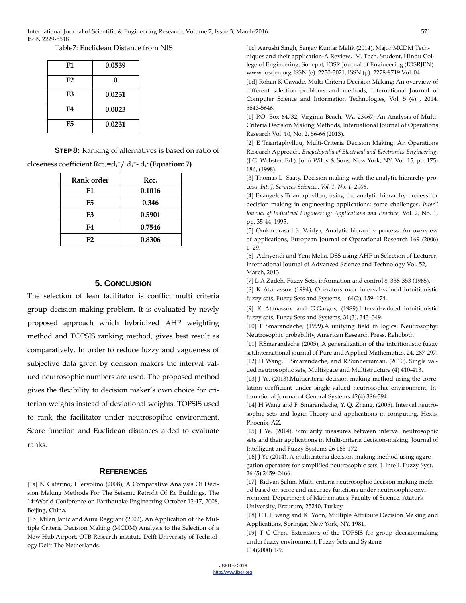#### Table7: Euclidean Distance from NIS

| F1             | 0.0539 |
|----------------|--------|
| F2             | O      |
| F3             | 0.0231 |
| F4             | 0.0023 |
| F <sub>5</sub> | 0.0231 |

**STEP 8:** Ranking of alternatives is based on ratio of

#### closeness coefficient Rcc<sub>i</sub>=d<sub>i</sub>+/ d<sub>i</sub>+- d<sub>i</sub>-(Equation: 7)

| Rank order | Rec <sub>i</sub> |
|------------|------------------|
| F1         | 0.1016           |
| F5         | 0.346            |
| F3         | 0.5901           |
| F4         | 0.7546           |
| F2         | 0.8306           |

# **5. CONCLUSION**

The selection of lean facilitator is conflict multi criteria group decision making problem. It is evaluated by newly proposed approach which hybridized AHP weighting method and TOPSIS ranking method, gives best result as comparatively. In order to reduce fuzzy and vagueness of subjective data given by decision makers the interval valued neutrosophic numbers are used. The proposed method gives the flexibility to decision maker's own choice for criterion weights instead of deviational weights. TOPSIS used to rank the facilitator under neutrosopihic environment. Score function and Euclidean distances aided to evaluate ranks.

### **REFERENCES**

[1a] N Caterino, I Iervolino (2008), A Comparative Analysis Of Decision Making Methods For The Seismic Retrofit Of Rc Buildings, The 14thWorld Conference on Earthquake Engineering October 12-17, 2008, Beijing, China.

[1b] Milan Janic and Aura Reggiani (2002), An Application of the Multiple Criteria Decision Making (MCDM) Analysis to the Selection of a New Hub Airport, OTB Research institute Delft University of Technology Delft The Netherlands.

[1c] Aarushi Singh, Sanjay Kumar Malik (2014), Major MCDM Techniques and their application-A Review, M. Tech. Student, Hindu College of Engineering, Sonepat, IOSR Journal of Engineering (IOSRJEN) www.iosrjen.org ISSN (e): 2250-3021, ISSN (p): 2278-8719 Vol. 04.

[1d] Rohan K Gavade, Multi-Criteria Decision Making: An overview of different selection problems and methods, International Journal of Computer Science and Information Technologies, Vol. 5 (4) , 2014, 5643-5646.

[1] P.O. Box 64732, Virginia Beach, VA, 23467, An Analysis of Multi-Criteria Decision Making Methods, International Journal of Operations Research Vol. 10, No. 2, 56-66 (2013).

[2] E Triantaphyllou, Multi-Criteria Decision Making: An Operations Research Approach, *Encyclopedia of Electrical and Electronics Engineering*, (J.G. Webster, Ed.), John Wiley & Sons, New York, NY, Vol. 15, pp. 175- 186, (1998).

[3] Thomas L Saaty, Decision making with the analytic hierarchy process, *Int. J. Services Sciences, Vol. 1, No. 1, 2008.*

[4] Evangelos Triantaphyllou**,** using the analytic hierarchy process for decision making in engineering applications: some challenges, *Inter'l Journal of Industrial Engineering: Applications and Practice,* Vol. 2, No. 1, pp. 35-44, 1995.

[5] Omkarprasad S. Vaidya, Analytic hierarchy process: An overview of applications, European Journal of Operational Research 169 (2006) 1–29.

[6] Adriyendi and Yeni Melia, DSS using AHP in Selection of Lecturer, International Journal of Advanced Science and Technology Vol. 52, March, 2013

[7] L A Zadeh, Fuzzy Sets, information and control 8, 338-353 (1965),.

[8] K Atanassov (1994), Operators over interval-valued intuitionistic fuzzy sets, Fuzzy Sets and Systems, 64(2), 159–174.

[9] K Atanassov and G.Gargov, (1989).Interval-valued intuitionistic fuzzy sets, Fuzzy Sets and Systems, 31(3), 343–349.

[10] F Smarandache, (1999).A unifying field in logics. Neutrosophy: Neutrosophic probability, American Research Press, Rehoboth

[11] F.Smarandache (2005), A generalization of the intuitionistic fuzzy set.International journal of Pure and Applied Mathematics, 24, 287-297. [12] H Wang, F Smarandache, and R.Sunderraman, (2010). Single valued neutrosophic sets, Multispace and Multistructure (4) 410-413.

[13] J Ye, (2013). Multicriteria decision-making method using the correlation coefficient under single-valued neutrosophic environment, International Journal of General Systems 42(4) 386-394.

[14] H Wang and F. Smarandache, Y. Q. Zhang, (2005). Interval neutrosophic sets and logic: Theory and applications in computing, Hexis, Phoenix, AZ.

[15] J Ye, (2014). Similarity measures between interval neutrosophic sets and their applications in Multi-criteria decision-making. Journal of Intelligent and Fuzzy Systems 26 165-172

[16] J Ye (2014). A multicriteria decision-making method using aggregation operators for simplified neutrosophic sets, J. Intell. Fuzzy Syst. 26 (5) 2459–2466.

[17] Rıdvan Şahin, Multi-criteria neutrosophic decision making method based on score and accuracy functions under neutrosophic environment, Department of Mathematics, Faculty of Science, Ataturk University, Erzurum, 25240, Turkey

[18] C L Hwang and K. Yoon, Multiple Attribute Decision Making and Applications, Springer, New York, NY, 1981.

[19] T C Chen, Extensions of the TOPSIS for group decisionmaking under fuzzy environment, Fuzzy Sets and Systems 114(2000) 1-9.